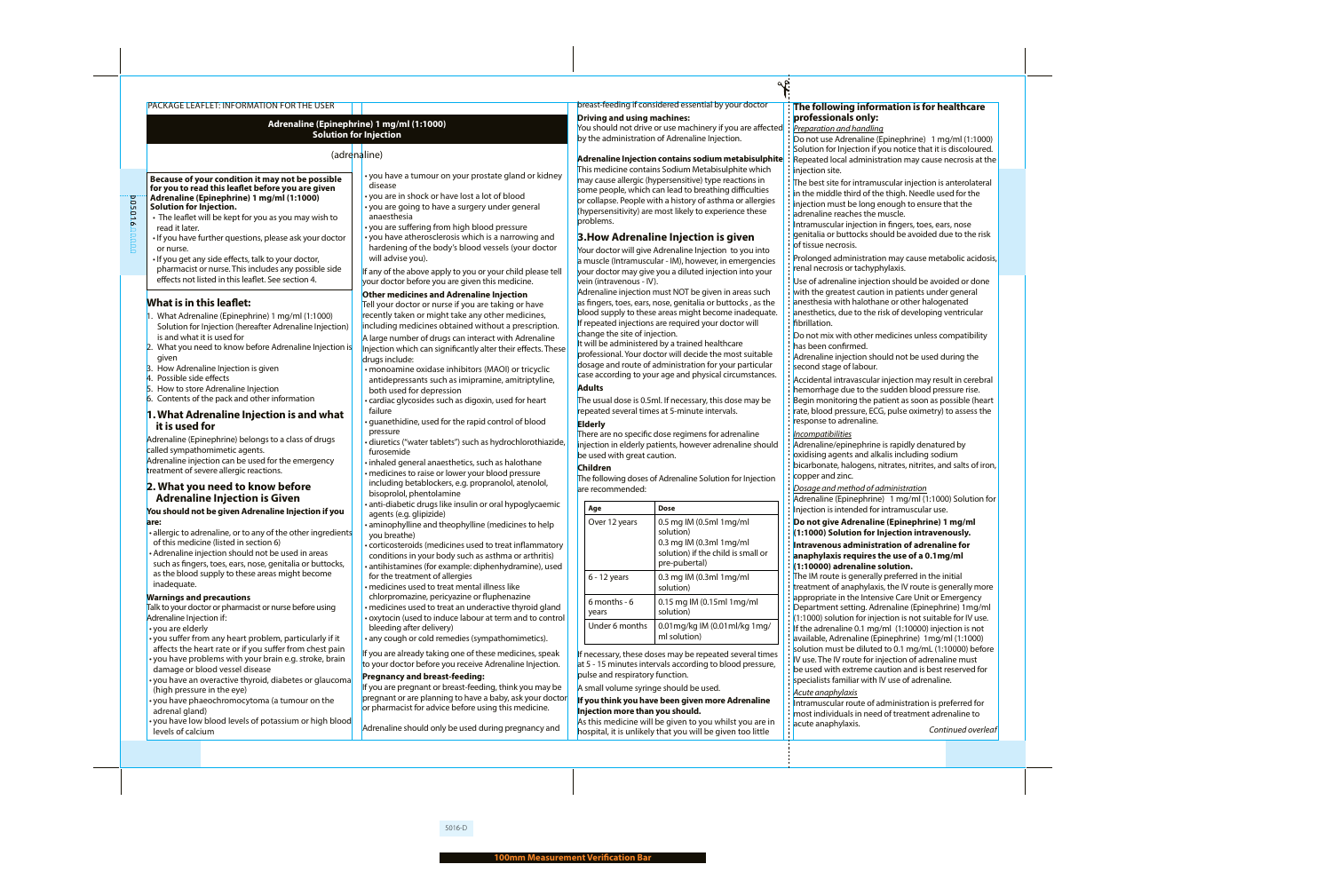### PACKAGE LEAFLET: INFORMATION FOR THE USER

# **Adrenaline (Epinephrine) 1 mg/ml (1:1000) Solution for Injection**

# (adrenaline)

**Because of your condition it may not be possible for you to read this leaflet before you are given Adrenaline (Epinephrine) 1 mg/ml (1:1000) Solution for Injection.**

• The leaflet will be kept for you as you may wish to read it later.

• If you have further questions, please ask your doctor or nurse.

• If you get any side effects, talk to your doctor, pharmacist or nurse. This includes any possible side effects not listed in this leaflet. See section 4.

# **What is in this leaflet:**

D05016

005016

- 1. What Adrenaline (Epinephrine) 1 mg/ml (1:1000) Solution for Injection (hereafter Adrenaline Injection) is and what it is used for
- 2. What you need to know before Adrenaline Injection is given
- 3. How Adrenaline Injection is given
- 4. Possible side effects
- 5. How to store Adrenaline Injection
- 6. Contents of the pack and other information

# **1. What Adrenaline Injection is and what it is used for**

Adrenaline (Epinephrine) belongs to a class of drugs called sympathomimetic agents.

Adrenaline injection can be used for the emergency treatment of severe allergic reactions.

# **2. What you need to know before Adrenaline Injection is Given**

## **You should not be given Adrenaline Injection if you are:**

- allergic to adrenaline, or to any of the other ingredients of this medicine (listed in section 6)
- Adrenaline injection should not be used in areas such as fingers, toes, ears, nose, genitalia or buttocks, as the blood supply to these areas might become inadequate.

### **Warnings and precautions**

- Talk to your doctor or pharmacist or nurse before using Adrenaline Injection if:
- you are elderly
- you suffer from any heart problem, particularly if it affects the heart rate or if you suffer from chest pain
- you have problems with your brain e.g. stroke, brain damage or blood vessel disease
- you have an overactive thyroid, diabetes or glaucoma (high pressure in the eye)
- you have phaeochromocytoma (a tumour on the adrenal gland)
- you have low blood levels of potassium or high blood levels of calcium
- you have a tumour on your prostate gland or kidney disease
- you are in shock or have lost a lot of blood
- you are going to have a surgery under general anaesthesia
- you are suffering from high blood pressure
- you have atherosclerosis which is a narrowing and hardening of the body's blood vessels (your doctor will advise you).

If any of the above apply to you or your child please tell your doctor before you are given this medicine.

## **Other medicines and Adrenaline Injection**

Tell your doctor or nurse if you are taking or have recently taken or might take any other medicines, including medicines obtained without a prescription.

A large number of drugs can interact with Adrenaline Injection which can significantly alter their effects. These drugs include:

- monoamine oxidase inhibitors (MAOI) or tricyclic antidepressants such as imipramine, amitriptyline, both used for depression
- cardiac glycosides such as digoxin, used for heart failure
- guanethidine, used for the rapid control of blood pressure
- diuretics ("water tablets") such as hydrochlorothiazide, furosemide
- inhaled general anaesthetics, such as halothane • medicines to raise or lower your blood pressure
- including betablockers, e.g. propranolol, atenolol, bisoprolol, phentolamine
- anti-diabetic drugs like insulin or oral hypoglycaemic agents (e.g. glipizide)
- aminophylline and theophylline (medicines to help you breathe)
- corticosteroids (medicines used to treat inflammatory conditions in your body such as asthma or arthritis) • antihistamines (for example: diphenhydramine), used for the treatment of allergies
- medicines used to treat mental illness like
- chlorpromazine, pericyazine or fluphenazine
- medicines used to treat an underactive thyroid gland • oxytocin (used to induce labour at term and to control bleeding after delivery)
- any cough or cold remedies (sympathomimetics).
- If you are already taking one of these medicines, speak to your doctor before you receive Adrenaline Injection.

### **Pregnancy and breast-feeding:**

If you are pregnant or breast-feeding, think you may be pregnant or are planning to have a baby, ask your doctor or pharmacist for advice before using this medicine.

Adrenaline should only be used during pregnancy and

# breast-feeding if considered essential by your doctor

# **Driving and using machines:**

You should not drive or use machinery if you are affected by the administration of Adrenaline Injection.

## **Adrenaline Injection contains sodium metabisulphite**

This medicine contains Sodium Metabisulphite which may cause allergic (hypersensitive) type reactions in some people, which can lead to breathing difficulties or collapse. People with a history of asthma or allergies (hypersensitivity) are most likely to experience these problems.

# **3.How Adrenaline Injection is given**

Your doctor will give Adrenaline Injection to you into a muscle (Intramuscular - IM), however, in emergencies your doctor may give you a diluted injection into your vein (intravenous - IV).

Adrenaline injection must NOT be given in areas such as fingers, toes, ears, nose, genitalia or buttocks , as the blood supply to these areas might become inadequate. If repeated injections are required your doctor will change the site of injection.

It will be administered by a trained healthcare professional. Your doctor will decide the most suitable dosage and route of administration for your particular case according to your age and physical circumstances. **Adults**

The usual dose is 0.5ml. If necessary, this dose may be repeated several times at 5-minute intervals.

## **Elderly**

There are no specific dose regimens for adrenaline injection in elderly patients, however adrenaline should be used with great caution.

# **Children**

The following doses of Adrenaline Solution for Injection are recommended:

| Age                       | Dose                                                                                                                         |
|---------------------------|------------------------------------------------------------------------------------------------------------------------------|
| Over 12 years             | $0.5$ mg IM $(0.5$ ml 1 mg/ml<br>solution)<br>0.3 mg IM (0.3ml 1mg/ml<br>solution) if the child is small or<br>pre-pubertal) |
| $6 - 12$ years            | $0.3$ mg IM $(0.3$ ml 1 mg/ml<br>solution)                                                                                   |
| $6$ months - $6$<br>years | $0.15$ mg IM (0.15ml 1 mg/ml<br>solution)                                                                                    |
| Under 6 months            | 0.01 mg/kg IM $(0.01$ ml/kg 1 mg/<br>ml solution)                                                                            |

If necessary, these doses may be repeated several times at 5 - 15 minutes intervals according to blood pressure, pulse and respiratory function.

A small volume syringe should be used.

# **If you think you have been given more Adrenaline Injection more than you should.**

As this medicine will be given to you whilst you are in hospital, it is unlikely that you will be given too little

# **The following information is for healthcare professionals only:**

*Preparation and handling*

എ്

- Do not use Adrenaline (Epinephrine) 1 mg/ml (1:1000) Solution for Injection if you notice that it is discoloured. Repeated local administration may cause necrosis at the injection site.
- The best site for intramuscular injection is anterolateral in the middle third of the thigh. Needle used for the
- injection must be long enough to ensure that the adrenaline reaches the muscle.
- Intramuscular injection in fingers, toes, ears, nose
- genitalia or buttocks should be avoided due to the risk of tissue necrosis.

Prolonged administration may cause metabolic acidosis, renal necrosis or tachyphylaxis.

- Use of adrenaline injection should be avoided or done with the greatest caution in patients under general anesthesia with halothane or other halogenated anesthetics, due to the risk of developing ventricular fibrillation.
- Do not mix with other medicines unless compatibility has been confirmed.

Adrenaline injection should not be used during the second stage of labour.

Accidental intravascular injection may result in cerebral hemorrhage due to the sudden blood pressure rise. Begin monitoring the patient as soon as possible (heart rate, blood pressure, ECG, pulse oximetry) to assess the response to adrenaline.

### *Incompatibilities*

Adrenaline/epinephrine is rapidly denatured by oxidising agents and alkalis including sodium bicarbonate, halogens, nitrates, nitrites, and salts of iron, copper and zinc.

## *Dosage and method of administration*

Adrenaline (Epinephrine) 1 mg/ml (1:1000) Solution for Injection is intended for intramuscular use.

## **Do not give Adrenaline (Epinephrine) 1 mg/ml (1:1000) Solution for Injection intravenously.**

### **Intravenous administration of adrenaline for anaphylaxis requires the use of a 0.1mg/ml (1:10000) adrenaline solution.**

The IM route is generally preferred in the initial treatment of anaphylaxis, the IV route is generally more appropriate in the Intensive Care Unit or Emergency Department setting. Adrenaline (Epinephrine) 1mg/ml (1:1000) solution for injection is not suitable for IV use. If the adrenaline 0.1 mg/ml  $(1:10000)$  injection is not available, Adrenaline (Epinephrine) 1mg/ml (1:1000) solution must be diluted to 0.1 mg/mL (1:10000) before IV use. The IV route for injection of adrenaline must be used with extreme caution and is best reserved for specialists familiar with IV use of adrenaline.

## *Acute anaphylaxis*

Intramuscular route of administration is preferred for most individuals in need of treatment adrenaline to acute anaphylaxis.

*Continued overleaf*